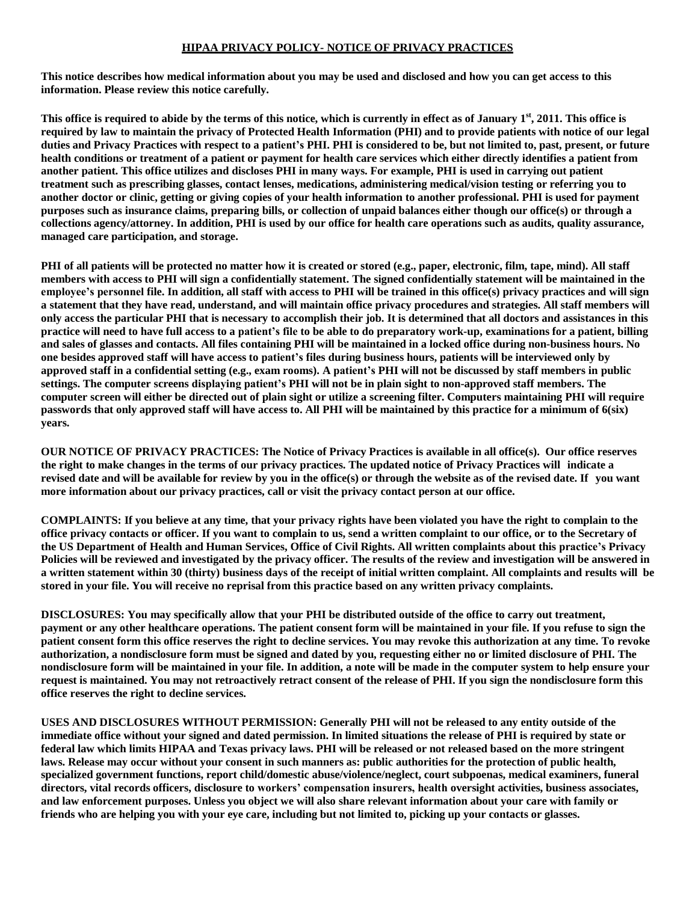## **HIPAA PRIVACY POLICY- NOTICE OF PRIVACY PRACTICES**

**This notice describes how medical information about you may be used and disclosed and how you can get access to this information. Please review this notice carefully.**

This office is required to abide by the terms of this notice, which is currently in effect as of January  $1^{\rm st}, 2011.$  This office is **required by law to maintain the privacy of Protected Health Information (PHI) and to provide patients with notice of our legal duties and Privacy Practices with respect to a patient's PHI. PHI is considered to be, but not limited to, past, present, or future** health conditions or treatment of a patient or payment for health care services which either directly identifies a patient from **another patient. This office utilizes and discloses PHI in many ways. For example, PHI is used in carrying out patient treatment such as prescribing glasses, contact lenses, medications, administering medical/vision testing or referring you to another doctor or clinic, getting or giving copies of your health information to another professional. PHI is used for payment purposes such as insurance claims, preparing bills, or collection of unpaid balances either though our office(s) or through a collections agency/attorney. In addition, PHI is used by our office for health care operations such as audits, quality assurance, managed care participation, and storage.**

PHI of all patients will be protected no matter how it is created or stored (e.g., paper, electronic, film, tape, mind). All staff **members with access to PHI will sign a confidentially statement. The signed confidentially statement will be maintained in the** employee's personnel file. In addition, all staff with access to PHI will be trained in this office(s) privacy practices and will sign **a statement that they have read, understand, and will maintain office privacy procedures and strategies. All staff members will only access the particular PHI that is necessary to accomplish their job. It is determined that all doctors and assistances in this practice will need to have full access to a patient's file to be able to do preparatory work-up, examinations for a patient, billing and sales of glasses and contacts. All files containing PHI will be maintained in a locked office during non-business hours. No one besides approved staff will have access to patient's files during business hours, patients will be interviewed only by approved staff in a confidential setting (e.g., exam rooms). A patient's PHI will not be discussed by staff members in public settings. The computer screens displaying patient's PHI will not be in plain sight to non-approved staff members. The computer screen will either be directed out of plain sight or utilize a screening filter. Computers maintaining PHI will require passwords that only approved staff will have access to. All PHI will be maintained by this practice for a minimum of 6(six) years.**

**OUR NOTICE OF PRIVACY PRACTICES: The Notice of Privacy Practices is available in all office(s). Our office reserves** the right to make changes in the terms of our privacy practices. The updated notice of Privacy Practices will indicate a revised date and will be available for review by you in the office(s) or through the website as of the revised date. If you want **more information about our privacy practices, call or visit the privacy contact person at our office.**

**COMPLAINTS: If you believe at any time, that your privacy rights have been violated you have the right to complain to the** office privacy contacts or officer. If you want to complain to us, send a written complaint to our office, or to the Secretary of **the US Department of Health and Human Services, Office of Civil Rights. All written complaints about this practice's Privacy Policies will be reviewed and investigated by the privacy officer. The results of the review and investigation will be answered in a written statement within 30 (thirty) business days of the receipt of initial written complaint. All complaints and results will be stored in your file. You will receive no reprisal from this practice based on any written privacy complaints.**

**DISCLOSURES: You may specifically allow that your PHI be distributed outside of the office to carry out treatment, payment or any other healthcare operations. The patient consent form will be maintained in your file. If you refuse to sign the** patient consent form this office reserves the right to decline services. You may revoke this authorization at any time. To revoke authorization, a nondisclosure form must be signed and dated by you, requesting either no or limited disclosure of PHI. The nondisclosure form will be maintained in your file. In addition, a note will be made in the computer system to help ensure your request is maintained. You may not retroactively retract consent of the release of PHI. If you sign the nondisclosure form this **office reserves the right to decline services.**

**USES AND DISCLOSURES WITHOUT PERMISSION: Generally PHI will not be released to any entity outside of the** immediate office without your signed and dated permission. In limited situations the release of PHI is required by state or **federal law which limits HIPAA and Texas privacy laws. PHI will be released or not released based on the more stringent laws. Release may occur without your consent in such manners as: public authorities for the protection of public health, specialized government functions, report child/domestic abuse/violence/neglect, court subpoenas, medical examiners, funeral directors, vital records officers, disclosure to workers' compensation insurers, health oversight activities, business associates, and law enforcement purposes. Unless you object we will also share relevant information about your care with family or friends who are helping you with your eye care, including but not limited to, picking up your contacts or glasses.**